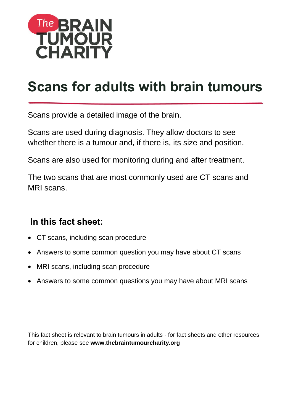

# **Scans for adults with brain tumours**

Scans provide a detailed image of the brain.

Scans are used during diagnosis. They allow doctors to see whether there is a tumour and, if there is, its size and position.

Scans are also used for monitoring during and after treatment.

The two scans that are most commonly used are CT scans and MRI scans.

### **In this fact sheet:**

- CT scans, including scan procedure
- Answers to some common question you may have about CT scans
- MRI scans, including scan procedure
- Answers to some common questions you may have about MRI scans

This fact sheet is relevant to brain tumours in adults - for fact sheets and other resources for children, please see **[www.thebraintumourcharity.org](http://www.thebraintumourcharity.org/)**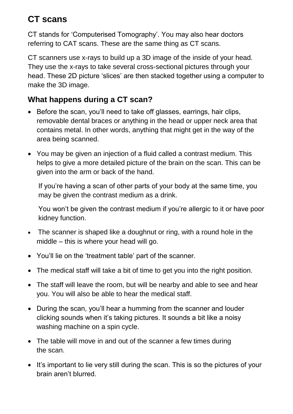# **CT scans**

CT stands for 'Computerised Tomography'. You may also hear doctors referring to CAT scans. These are the same thing as CT scans.

CT scanners use x-rays to build up a 3D image of the inside of your head. They use the x-rays to take several cross-sectional pictures through your head. These 2D picture 'slices' are then stacked together using a computer to make the 3D image.

#### **What happens during a CT scan?**

- Before the scan, you'll need to take off glasses, earrings, hair clips, removable dental braces or anything in the head or upper neck area that contains metal. In other words, anything that might get in the way of the area being scanned.
- You may be given an injection of a fluid called a contrast medium. This helps to give a more detailed picture of the brain on the scan. This can be given into the arm or back of the hand.

If you're having a scan of other parts of your body at the same time, you may be given the contrast medium as a drink.

You won't be given the contrast medium if you're allergic to it or have poor kidney function.

- The scanner is shaped like a doughnut or ring, with a round hole in the middle – this is where your head will go.
- You'll lie on the 'treatment table' part of the scanner.
- The medical staff will take a bit of time to get you into the right position.
- The staff will leave the room, but will be nearby and able to see and hear you. You will also be able to hear the medical staff.
- During the scan, you'll hear a humming from the scanner and louder clicking sounds when it's taking pictures. It sounds a bit like a noisy washing machine on a spin cycle.
- The table will move in and out of the scanner a few times during the scan.
- It's important to lie very still during the scan. This is so the pictures of your brain aren't blurred.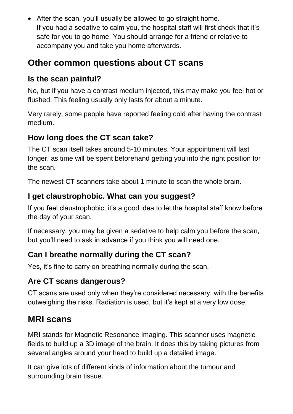• After the scan, you'll usually be allowed to go straight home. If you had a sedative to calm you, the hospital staff will first check that it's safe for you to go home. You should arrange for a friend or relative to accompany you and take you home afterwards.

# **Other common questions about CT scans**

#### **Is the scan painful?**

No, but if you have a contrast medium injected, this may make you feel hot or flushed. This feeling usually only lasts for about a minute.

Very rarely, some people have reported feeling cold after having the contrast medium.

### **How long does the CT scan take?**

The CT scan itself takes around 5-10 minutes. Your appointment will last longer, as time will be spent beforehand getting you into the right position for the scan.

The newest CT scanners take about 1 minute to scan the whole brain.

### **I get claustrophobic. What can you suggest?**

If you feel claustrophobic, it's a good idea to let the hospital staff know before the day of your scan.

If necessary, you may be given a sedative to help calm you before the scan, but you'll need to ask in advance if you think you will need one.

### **Can I breathe normally during the CT scan?**

Yes, it's fine to carry on breathing normally during the scan.

### **Are CT scans dangerous?**

CT scans are used only when they're considered necessary, with the benefits outweighing the risks. Radiation is used, but it's kept at a very low dose.

# **MRI scans**

MRI stands for Magnetic Resonance Imaging. This scanner uses magnetic fields to build up a 3D image of the brain. It does this by taking pictures from several angles around your head to build up a detailed image.

It can give lots of different kinds of information about the tumour and surrounding brain tissue.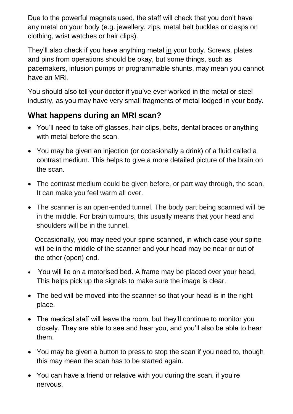Due to the powerful magnets used, the staff will check that you don't have any metal on your body (e.g. jewellery, zips, metal belt buckles or clasps on clothing, wrist watches or hair clips).

They'll also check if you have anything metal in your body. Screws, plates and pins from operations should be okay, but some things, such as pacemakers, infusion pumps or programmable shunts, may mean you cannot have an MRI.

You should also tell your doctor if you've ever worked in the metal or steel industry, as you may have very small fragments of metal lodged in your body.

#### **What happens during an MRI scan?**

- You'll need to take off glasses, hair clips, belts, dental braces or anything with metal before the scan.
- You may be given an injection (or occasionally a drink) of a fluid called a contrast medium. This helps to give a more detailed picture of the brain on the scan.
- The contrast medium could be given before, or part way through, the scan. It can make you feel warm all over.
- The scanner is an open-ended tunnel. The body part being scanned will be in the middle. For brain tumours, this usually means that your head and shoulders will be in the tunnel.

Occasionally, you may need your spine scanned, in which case your spine will be in the middle of the scanner and your head may be near or out of the other (open) end.

- You will lie on a motorised bed. A frame may be placed over your head. This helps pick up the signals to make sure the image is clear.
- The bed will be moved into the scanner so that your head is in the right place.
- The medical staff will leave the room, but they'll continue to monitor you closely. They are able to see and hear you, and you'll also be able to hear them.
- You may be given a button to press to stop the scan if you need to, though this may mean the scan has to be started again.
- You can have a friend or relative with you during the scan, if you're nervous.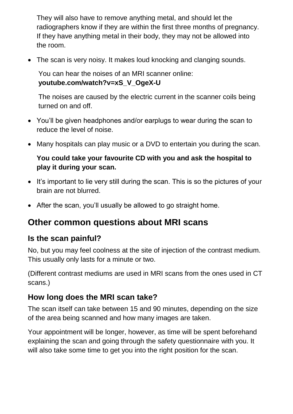They will also have to remove anything metal, and should let the radiographers know if they are within the first three months of pregnancy. If they have anything metal in their body, they may not be allowed into the room.

The scan is very noisy. It makes loud knocking and clanging sounds.

You can hear the noises of an MRI scanner online: **[youtube.com/watch?v=xS\\_V\\_OgeX-U](http://www.youtube.com/watch?v=xS_V_OgeX-U)**

The noises are caused by the electric current in the scanner coils being turned on and off.

- You'll be given headphones and/or earplugs to wear during the scan to reduce the level of noise.
- Many hospitals can play music or a DVD to entertain you during the scan.

#### **You could take your favourite CD with you and ask the hospital to play it during your scan.**

- It's important to lie very still during the scan. This is so the pictures of your brain are not blurred.
- After the scan, you'll usually be allowed to go straight home.

# **Other common questions about MRI scans**

#### **Is the scan painful?**

No, but you may feel coolness at the site of injection of the contrast medium. This usually only lasts for a minute or two.

(Different contrast mediums are used in MRI scans from the ones used in CT scans.)

#### **How long does the MRI scan take?**

The scan itself can take between 15 and 90 minutes, depending on the size of the area being scanned and how many images are taken.

Your appointment will be longer, however, as time will be spent beforehand explaining the scan and going through the safety questionnaire with you. It will also take some time to get you into the right position for the scan.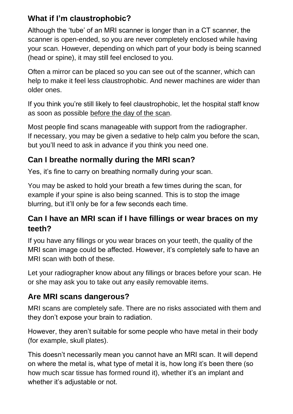#### **What if I'm claustrophobic?**

Although the 'tube' of an MRI scanner is longer than in a CT scanner, the scanner is open-ended, so you are never completely enclosed while having your scan. However, depending on which part of your body is being scanned (head or spine), it may still feel enclosed to you.

Often a mirror can be placed so you can see out of the scanner, which can help to make it feel less claustrophobic. And newer machines are wider than older ones.

If you think you're still likely to feel claustrophobic, let the hospital staff know as soon as possible before the day of the scan.

Most people find scans manageable with support from the radiographer. If necessary, you may be given a sedative to help calm you before the scan, but you'll need to ask in advance if you think you need one.

#### **Can I breathe normally during the MRI scan?**

Yes, it's fine to carry on breathing normally during your scan.

You may be asked to hold your breath a few times during the scan, for example if your spine is also being scanned. This is to stop the image blurring, but it'll only be for a few seconds each time.

#### **Can I have an MRI scan if I have fillings or wear braces on my teeth?**

If you have any fillings or you wear braces on your teeth, the quality of the MRI scan image could be affected. However, it's completely safe to have an MRI scan with both of these.

Let your radiographer know about any fillings or braces before your scan. He or she may ask you to take out any easily removable items.

#### **Are MRI scans dangerous?**

MRI scans are completely safe. There are no risks associated with them and they don't expose your brain to radiation.

However, they aren't suitable for some people who have metal in their body (for example, skull plates).

This doesn't necessarily mean you cannot have an MRI scan. It will depend on where the metal is, what type of metal it is, how long it's been there (so how much scar tissue has formed round it), whether it's an implant and whether it's adjustable or not.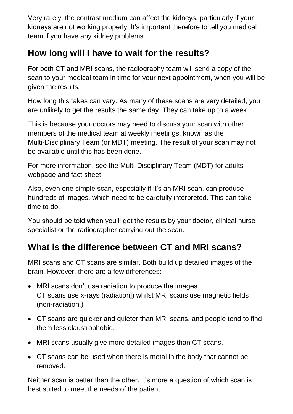Very rarely, the contrast medium can affect the kidneys, particularly if your kidneys are not working properly. It's important therefore to tell you medical team if you have any kidney problems.

# **How long will I have to wait for the results?**

For both CT and MRI scans, the radiography team will send a copy of the scan to your medical team in time for your next appointment, when you will be given the results.

How long this takes can vary. As many of these scans are very detailed, you are unlikely to get the results the same day. They can take up to a week.

This is because your doctors may need to discuss your scan with other members of the medical team at weekly meetings, known as the Multi-Disciplinary Team (or MDT) meeting. The result of your scan may not be available until this has been done.

For more information, see the [Multi-Disciplinary Team \(MDT\) for adults](https://www.thebraintumourcharity.org/understanding-brain-tumours/navigating-the-system/your-health-team-mdt/) webpage and fact sheet.

Also, even one simple scan, especially if it's an MRI scan, can produce hundreds of images, which need to be carefully interpreted. This can take time to do.

You should be told when you'll get the results by your doctor, clinical nurse specialist or the radiographer carrying out the scan.

# **What is the difference between CT and MRI scans?**

MRI scans and CT scans are similar. Both build up detailed images of the brain. However, there are a few differences:

- MRI scans don't use radiation to produce the images. CT scans use x-rays (radiation]) whilst MRI scans use magnetic fields (non-radiation.)
- CT scans are quicker and quieter than MRI scans, and people tend to find them less claustrophobic.
- MRI scans usually give more detailed images than CT scans.
- CT scans can be used when there is metal in the body that cannot be removed.

Neither scan is better than the other. It's more a question of which scan is best suited to meet the needs of the patient.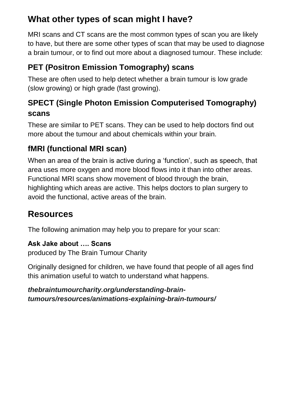# **What other types of scan might I have?**

MRI scans and CT scans are the most common types of scan you are likely to have, but there are some other types of scan that may be used to diagnose a brain tumour, or to find out more about a diagnosed tumour. These include:

# **PET (Positron Emission Tomography) scans**

These are often used to help detect whether a brain tumour is low grade (slow growing) or high grade (fast growing).

### **SPECT (Single Photon Emission Computerised Tomography) scans**

These are similar to PET scans. They can be used to help doctors find out more about the tumour and about chemicals within your brain.

### **fMRI (functional MRI scan)**

When an area of the brain is active during a 'function', such as speech, that area uses more oxygen and more blood flows into it than into other areas. Functional MRI scans show movement of blood through the brain, highlighting which areas are active. This helps doctors to plan surgery to avoid the functional, active areas of the brain.

# **Resources**

The following animation may help you to prepare for your scan:

**Ask Jake about …. Scans** produced by The Brain Tumour Charity

Originally designed for children, we have found that people of all ages find this animation useful to watch to understand what happens.

*[thebraintumourcharity.org/understanding-brain](https://www.thebraintumourcharity.org/understanding-brain-tumours/resources/animations-explaining-brain-tumours/)[tumours/resources/animations-explaining-brain-tumours/](https://www.thebraintumourcharity.org/understanding-brain-tumours/resources/animations-explaining-brain-tumours/)*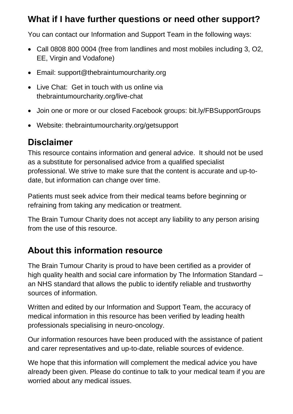### **What if I have further questions or need other support?**

You can contact our Information and Support Team in the following ways:

- Call 0808 800 0004 (free from landlines and most mobiles including 3, O2, EE, Virgin and Vodafone)
- Email: [support@thebraintumourcharity.org](mailto:support@thebraintumourcharity.org)
- Live Chat: Get in touch with us online via thebraintumourcharity.org/live-chat
- Join one or more or our closed Facebook groups: [bit.ly/FBSupportGroups](https://www.thebraintumourcharity.org/get-support/online-support/facebook-support-groups/)
- Website: thebraintumourcharity.org/getsupport

# **Disclaimer**

This resource contains information and general advice. It should not be used as a substitute for personalised advice from a qualified specialist professional. We strive to make sure that the content is accurate and up-todate, but information can change over time.

Patients must seek advice from their medical teams before beginning or refraining from taking any medication or treatment.

The Brain Tumour Charity does not accept any liability to any person arising from the use of this resource.

# **About this information resource**

The Brain Tumour Charity is proud to have been certified as a provider of high quality health and social care information by The Information Standard – an NHS standard that allows the public to identify reliable and trustworthy sources of information.

Written and edited by our Information and Support Team, the accuracy of medical information in this resource has been verified by leading health professionals specialising in neuro-oncology.

Our information resources have been produced with the assistance of patient and carer representatives and up-to-date, reliable sources of evidence.

We hope that this information will complement the medical advice you have already been given. Please do continue to talk to your medical team if you are worried about any medical issues.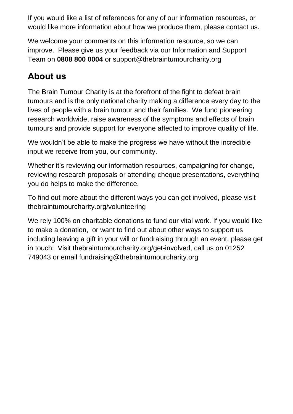If you would like a list of references for any of our information resources, or would like more information about how we produce them, please contact us.

We welcome your comments on this information resource, so we can improve. Please give us your feedback via our Information and Support Team on **0808 800 0004** or [support@thebraintumourcharity.org](mailto:support@thebraintumourcharity.org)

# **About us**

The Brain Tumour Charity is at the forefront of the fight to defeat brain tumours and is the only national charity making a difference every day to the lives of people with a brain tumour and their families. We fund pioneering research worldwide, raise awareness of the symptoms and effects of brain tumours and provide support for everyone affected to improve quality of life.

We wouldn't be able to make the progress we have without the incredible input we receive from you, our community.

Whether it's reviewing our information resources, campaigning for change, reviewing research proposals or attending cheque presentations, everything you do helps to make the difference.

To find out more about the different ways you can get involved, please visit [thebraintumourcharity.org/volunteering](https://www.thebraintumourcharity.org/get-involved/volunteering/)

We rely 100% on charitable donations to fund our vital work. If you would like to make a donation, or want to find out about other ways to support us including leaving a gift in your will or fundraising through an event, please get in touch: Visit [thebraintumourcharity.org/get-involved,](https://www.thebraintumourcharity.org/get-involved/) call us on 01252 749043 or email<fundraising@thebraintumourcharity.org>